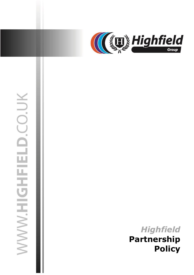

# WWW.HIGHFIELD.CO.UK

30 March 2021 jasonsprenger

# *Highfield* **Partnership Policy**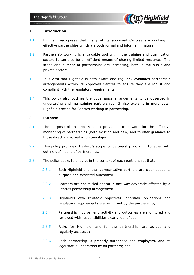

# 1. **Introduction**

- 1.1 Highfield recognises that many of its approved Centres are working in effective partnerships which are both formal and informal in nature.
- 1.2 Partnership working is a valuable tool within the training and qualification sector. It can also be an efficient means of sharing limited resources. The scope and number of partnerships are increasing, both in the public and private sectors.
- 1.3 It is vital that Highfield is both aware and regularly evaluates partnership arrangements within its Approved Centres to ensure they are robust and compliant with the regulatory requirements.
- 1.4 This policy also outlines the governance arrangements to be observed in undertaking and maintaining partnerships. It also explains in more detail Highfield's scope for Centres working in partnership.

# 2. **Purpose**

- 2.1 The purpose of this policy is to provide a framework for the effective monitoring of partnerships (both existing and new) and to offer guidance to those directly involved in partnerships.
- 2.2 This policy provides Highfield's scope for partnership working, together with outline definitions of partnerships.
- 2.3 The policy seeks to ensure, in the context of each partnership, that:
	- 2.3.1 Both Highfield and the representative partners are clear about its purpose and expected outcomes;
	- 2.3.2 Learners are not misled and/or in any way adversely affected by a Centres partnership arrangement;
	- 2.3.3 Highfield's own strategic objectives, priorities, obligations and regulatory requirements are being met by the partnership;
	- 2.3.4 Partnership involvement, activity and outcomes are monitored and reviewed with responsibilities clearly identified;
	- 2.3.5 Risks for Highfield, and for the partnership, are agreed and regularly assessed;
	- 2.3.6 Each partnership is properly authorised and employers, and its legal status understood by all partners; and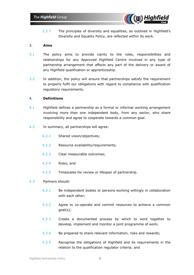

2.3.7 The principles of diversity and equalities, as outlined in Highfield's Diversity and Equality Policy, are reflected within its work.

# 3. **Aims**

- 3.1 The policy aims to provide clarity to the roles, responsibilities and relationships for any Approved Highfield Centre involved in any type of partnership arrangement that affects any part of the delivery or award of any Highfield qualification or apprenticeship.
- 3.2 In addition, the policy will ensure that partnerships satisfy the requirement to properly fulfil our obligations with regard to compliance with qualification regulatory requirements.

## 4. **Definitions**

- 4.1 Highfield defines a partnership as a formal or informal working arrangement involving more than one independent body, from any sector, who share responsibility and agree to cooperate towards a common goal.
- 4.2 In summary, all partnerships will agree:
	- 4.2.1 Shared vision/objectives;
	- 4.2.2 Resource availability/requirements;
	- 4.2.3 Clear measurable outcomes;
	- 4.2.4 Risks; and
	- 4.2.5 Timescales for review or lifespan of partnership.

### 4.3 Partners should:

- 4.3.1 Be independent bodies or persons working willingly in collaboration with each other;
- 4.3.2 Agree to co-operate and commit resources to achieve a common goal(s);
- 4.3.3 Create a documented process by which to work together to develop, implement and monitor a joint programme of work;
- 4.3.4 Be prepared to share relevant information, risks and rewards;
- 4.3.5 Recognise the obligations of Highfield and its requirements in the relation to the qualification regulator criteria; and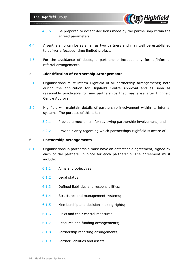

- 4.3.6 Be prepared to accept decisions made by the partnership within the agreed parameters.
- 4.4 A partnership can be as small as two partners and may well be established to deliver a focused, time limited project.
- 4.5 For the avoidance of doubt, a partnership includes any formal/informal referral arrangements.

# 5. **Identification of Partnership Arrangements**

- 5.1 Organisations must inform Highfield of all partnership arrangements; both during the application for Highfield Centre Approval and as soon as reasonably practicable for any partnerships that may arise after Highfield Centre Approval.
- 5.2 Highfield will maintain details of partnership involvement within its internal systems. The purpose of this is to:
	- 5.2.1 Provide a mechanism for reviewing partnership involvement; and
	- 5.2.2 Provide clarity regarding which partnerships Highfield is aware of.

### 6. **Partnership Arrangements**

- 6.1 Organisations in partnership must have an enforceable agreement, signed by each of the partners, in place for each partnership. The agreement must include:
	- 6.1.1 Aims and objectives;
	- 6.1.2 Legal status;
	- 6.1.3 Defined liabilities and responsibilities;
	- 6.1.4 Structures and management systems;
	- 6.1.5 Membership and decision-making rights;
	- 6.1.6 Risks and their control measures;
	- 6.1.7 Resource and funding arrangements;
	- 6.1.8 Partnership reporting arrangements;
	- 6.1.9 Partner liabilities and assets;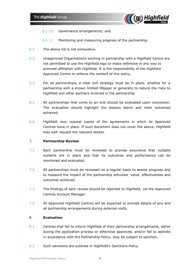

- 6.1.10 Governance arrangements; and
- 6.1.11 Monitoring and measuring progress of the partnership.
- 6.2 The above list is not exhaustive.
- 6.3 Unapproved Organisations working in partnership with a Highfield Centre are not permitted to use the Highfield logo or make reference in any way to promote affiliation with Highfield. It is the responsibility of the Highfield Approved Centre to enforce the content of this policy.
- 6.4 For all partnerships, a clear exit strategy must be in place, whether for a partnership with a known limited lifespan or generally to reduce the risks to Highfield and other partners involved in the partnership.
- 6.5 All partnerships that come to an end should be evaluated upon conclusion. The evaluation should highlight the lessons learnt and main outcomes achieved.
- 6.6 Highfield may request copies of the agreements in which its Approved Centres have in place. If such document does not cover the above, Highfield may well request the relevant details.

# 7. **Partnership Review**

- 7.1 Each partnership must be reviewed to provide assurance that suitable systems are in place and that its outcomes and performance can be monitored and evaluated.
- 7.2 All partnerships must be reviewed on a regular basis to assess progress and to measure the impact of the partnership activities, value, effectiveness and outcomes achieved.
- 7.3 The findings of each review should be reported to Highfield, via the Approved Centres Account Manager.
- 7.4 All Approved Highfield Centres will be expected to provide details of any and all partnership arrangements during external visits.

# 8. **Evaluation**

- 8.1 Centres that fail to inform Highfield of their partnership arrangements, either during the application process or otherwise approved, and/or fail to operate in accordance with the Partnership Policy, may be subject to sanction.
- 8.2 Such sanctions are outlined in Highfield's Sanctions Policy.